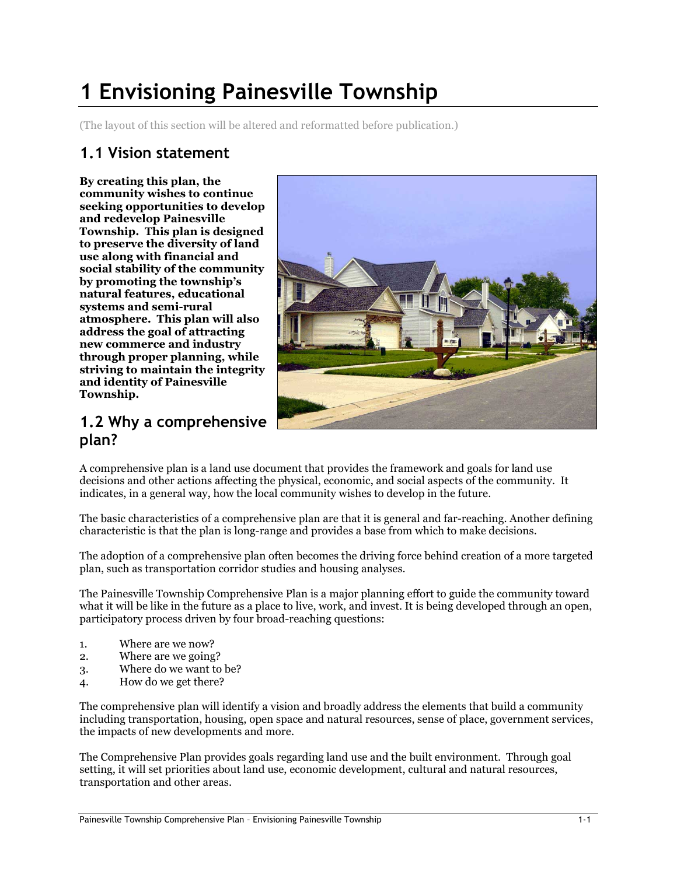# 1 Envisioning Painesville Township

(The layout of this section will be altered and reformatted before publication.)

## 1.1 Vision statement

By creating this plan, the community wishes to continue seeking opportunities to develop and redevelop Painesville Township. This plan is designed to preserve the diversity of land use along with financial and social stability of the community by promoting the township's natural features, educational systems and semi-rural atmosphere. This plan will also address the goal of attracting new commerce and industry through proper planning, while striving to maintain the integrity and identity of Painesville Township.



#### 1.2 Why a comprehensive plan?

A comprehensive plan is a land use document that provides the framework and goals for land use decisions and other actions affecting the physical, economic, and social aspects of the community. It indicates, in a general way, how the local community wishes to develop in the future.

The basic characteristics of a comprehensive plan are that it is general and far-reaching. Another defining characteristic is that the plan is long-range and provides a base from which to make decisions.

The adoption of a comprehensive plan often becomes the driving force behind creation of a more targeted plan, such as transportation corridor studies and housing analyses.

The Painesville Township Comprehensive Plan is a major planning effort to guide the community toward what it will be like in the future as a place to live, work, and invest. It is being developed through an open, participatory process driven by four broad-reaching questions:

- 1. Where are we now?
- 2. Where are we going?
- 3. Where do we want to be?
- 4. How do we get there?

The comprehensive plan will identify a vision and broadly address the elements that build a community including transportation, housing, open space and natural resources, sense of place, government services, the impacts of new developments and more.

The Comprehensive Plan provides goals regarding land use and the built environment. Through goal setting, it will set priorities about land use, economic development, cultural and natural resources, transportation and other areas.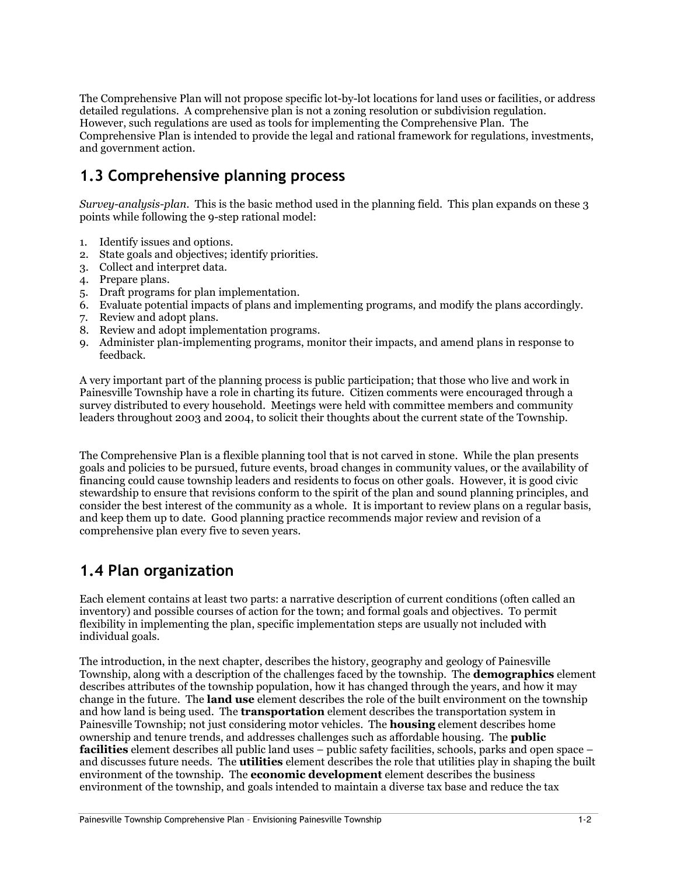The Comprehensive Plan will not propose specific lot-by-lot locations for land uses or facilities, or address detailed regulations. A comprehensive plan is not a zoning resolution or subdivision regulation. However, such regulations are used as tools for implementing the Comprehensive Plan. The Comprehensive Plan is intended to provide the legal and rational framework for regulations, investments, and government action.

# 1.3 Comprehensive planning process

Survey-analysis-plan. This is the basic method used in the planning field. This plan expands on these 3 points while following the 9-step rational model:

- 1. Identify issues and options.
- 2. State goals and objectives; identify priorities.
- 3. Collect and interpret data.
- 4. Prepare plans.
- 5. Draft programs for plan implementation.
- 6. Evaluate potential impacts of plans and implementing programs, and modify the plans accordingly.
- 7. Review and adopt plans.
- 8. Review and adopt implementation programs.
- 9. Administer plan-implementing programs, monitor their impacts, and amend plans in response to feedback.

A very important part of the planning process is public participation; that those who live and work in Painesville Township have a role in charting its future. Citizen comments were encouraged through a survey distributed to every household. Meetings were held with committee members and community leaders throughout 2003 and 2004, to solicit their thoughts about the current state of the Township.

The Comprehensive Plan is a flexible planning tool that is not carved in stone. While the plan presents goals and policies to be pursued, future events, broad changes in community values, or the availability of financing could cause township leaders and residents to focus on other goals. However, it is good civic stewardship to ensure that revisions conform to the spirit of the plan and sound planning principles, and consider the best interest of the community as a whole. It is important to review plans on a regular basis, and keep them up to date. Good planning practice recommends major review and revision of a comprehensive plan every five to seven years.

### 1.4 Plan organization

Each element contains at least two parts: a narrative description of current conditions (often called an inventory) and possible courses of action for the town; and formal goals and objectives. To permit flexibility in implementing the plan, specific implementation steps are usually not included with individual goals.

The introduction, in the next chapter, describes the history, geography and geology of Painesville Township, along with a description of the challenges faced by the township. The demographics element describes attributes of the township population, how it has changed through the years, and how it may change in the future. The land use element describes the role of the built environment on the township and how land is being used. The **transportation** element describes the transportation system in Painesville Township; not just considering motor vehicles. The **housing** element describes home ownership and tenure trends, and addresses challenges such as affordable housing. The public facilities element describes all public land uses – public safety facilities, schools, parks and open space – and discusses future needs. The **utilities** element describes the role that utilities play in shaping the built environment of the township. The **economic development** element describes the business environment of the township, and goals intended to maintain a diverse tax base and reduce the tax